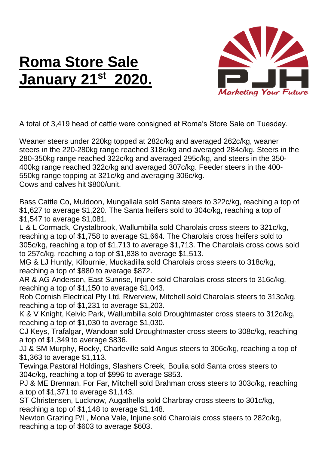## **Roma Store Sale January 21st 2020.**



A total of 3,419 head of cattle were consigned at Roma's Store Sale on Tuesday.

Weaner steers under 220kg topped at 282c/kg and averaged 262c/kg, weaner steers in the 220-280kg range reached 318c/kg and averaged 284c/kg. Steers in the 280-350kg range reached 322c/kg and averaged 295c/kg, and steers in the 350- 400kg range reached 322c/kg and averaged 307c/kg. Feeder steers in the 400- 550kg range topping at 321c/kg and averaging 306c/kg. Cows and calves hit \$800/unit.

Bass Cattle Co, Muldoon, Mungallala sold Santa steers to 322c/kg, reaching a top of \$1,627 to average \$1,220. The Santa heifers sold to 304c/kg, reaching a top of \$1,547 to average \$1,081.

L & L Cormack, Crystalbrook, Wallumbilla sold Charolais cross steers to 321c/kg, reaching a top of \$1,758 to average \$1,664. The Charolais cross heifers sold to 305c/kg, reaching a top of \$1,713 to average \$1,713. The Charolais cross cows sold to 257c/kg, reaching a top of \$1,838 to average \$1,513.

MG & LJ Huntly, Kilburnie, Muckadilla sold Charolais cross steers to 318c/kg, reaching a top of \$880 to average \$872.

AR & AG Anderson, East Sunrise, Injune sold Charolais cross steers to 316c/kg, reaching a top of \$1,150 to average \$1,043.

Rob Cornish Electrical Pty Ltd, Riverview, Mitchell sold Charolais steers to 313c/kg, reaching a top of \$1,231 to average \$1,203.

K & V Knight, Kelvic Park, Wallumbilla sold Droughtmaster cross steers to 312c/kg, reaching a top of \$1,030 to average \$1,030.

CJ Keys, Trafalgar, Wandoan sold Droughtmaster cross steers to 308c/kg, reaching a top of \$1,349 to average \$836.

JJ & SM Murphy, Rocky, Charleville sold Angus steers to 306c/kg, reaching a top of \$1,363 to average \$1,113.

Tewinga Pastoral Holdings, Slashers Creek, Boulia sold Santa cross steers to 304c/kg, reaching a top of \$996 to average \$853.

PJ & ME Brennan, For Far, Mitchell sold Brahman cross steers to 303c/kg, reaching a top of \$1,371 to average \$1,143.

ST Christensen, Lucknow, Augathella sold Charbray cross steers to 301c/kg, reaching a top of \$1,148 to average \$1,148.

Newton Grazing P/L, Mona Vale, Injune sold Charolais cross steers to 282c/kg, reaching a top of \$603 to average \$603.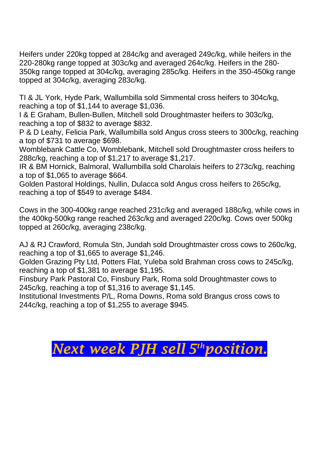Heifers under 220kg topped at 284c/kg and averaged 249c/kg, while heifers in the 220-280kg range topped at 303c/kg and averaged 264c/kg. Heifers in the 280- 350kg range topped at 304c/kg, averaging 285c/kg. Heifers in the 350-450kg range topped at 304c/kg, averaging 283c/kg.

TI & JL York, Hyde Park, Wallumbilla sold Simmental cross heifers to 304c/kg, reaching a top of \$1,144 to average \$1,036.

I & E Graham, Bullen-Bullen, Mitchell sold Droughtmaster heifers to 303c/kg, reaching a top of \$832 to average \$832.

P & D Leahy, Felicia Park, Wallumbilla sold Angus cross steers to 300c/kg, reaching a top of \$731 to average \$698.

Womblebank Cattle Co, Womblebank, Mitchell sold Droughtmaster cross heifers to 288c/kg, reaching a top of \$1,217 to average \$1,217.

IR & BM Hornick, Balmoral, Wallumbilla sold Charolais heifers to 273c/kg, reaching a top of \$1,065 to average \$664.

Golden Pastoral Holdings, Nullin, Dulacca sold Angus cross heifers to 265c/kg, reaching a top of \$549 to average \$484.

Cows in the 300-400kg range reached 231c/kg and averaged 188c/kg, while cows in the 400kg-500kg range reached 263c/kg and averaged 220c/kg. Cows over 500kg topped at 260c/kg, averaging 238c/kg.

AJ & RJ Crawford, Romula Stn, Jundah sold Droughtmaster cross cows to 260c/kg, reaching a top of \$1,665 to average \$1,246.

Golden Grazing Pty Ltd, Potters Flat, Yuleba sold Brahman cross cows to 245c/kg, reaching a top of \$1,381 to average \$1,195.

Finsbury Park Pastoral Co, Finsbury Park, Roma sold Droughtmaster cows to 245c/kg, reaching a top of \$1,316 to average \$1,145.

Institutional Investments P/L, Roma Downs, Roma sold Brangus cross cows to 244c/kg, reaching a top of \$1,255 to average \$945.

## *Next week PJH sell 5 thposition.*